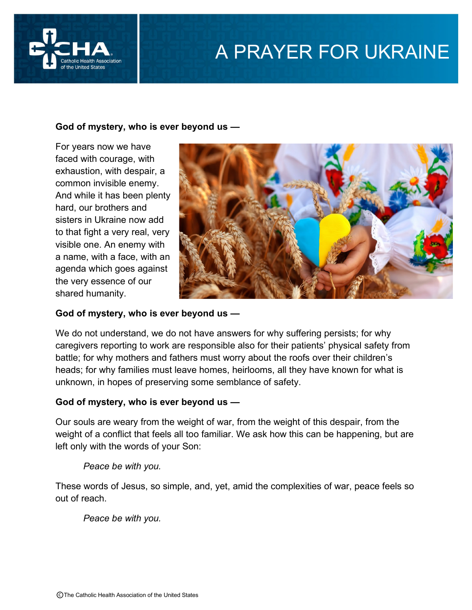

# A PRAYER FOR UKRAINE

## **God of mystery, who is ever beyond us —**

For years now we have faced with courage, with exhaustion, with despair, a common invisible enemy. And while it has been plenty hard, our brothers and sisters in Ukraine now add to that fight a very real, very visible one. An enemy with a name, with a face, with an agenda which goes against the very essence of our shared humanity.



#### **God of mystery, who is ever beyond us —**

We do not understand, we do not have answers for why suffering persists; for why caregivers reporting to work are responsible also for their patients' physical safety from battle; for why mothers and fathers must worry about the roofs over their children's heads; for why families must leave homes, heirlooms, all they have known for what is unknown, in hopes of preserving some semblance of safety.

#### **God of mystery, who is ever beyond us —**

Our souls are weary from the weight of war, from the weight of this despair, from the weight of a conflict that feels all too familiar. We ask how this can be happening, but are left only with the words of your Son:

*Peace be with you.*

These words of Jesus, so simple, and, yet, amid the complexities of war, peace feels so out of reach.

*Peace be with you.*